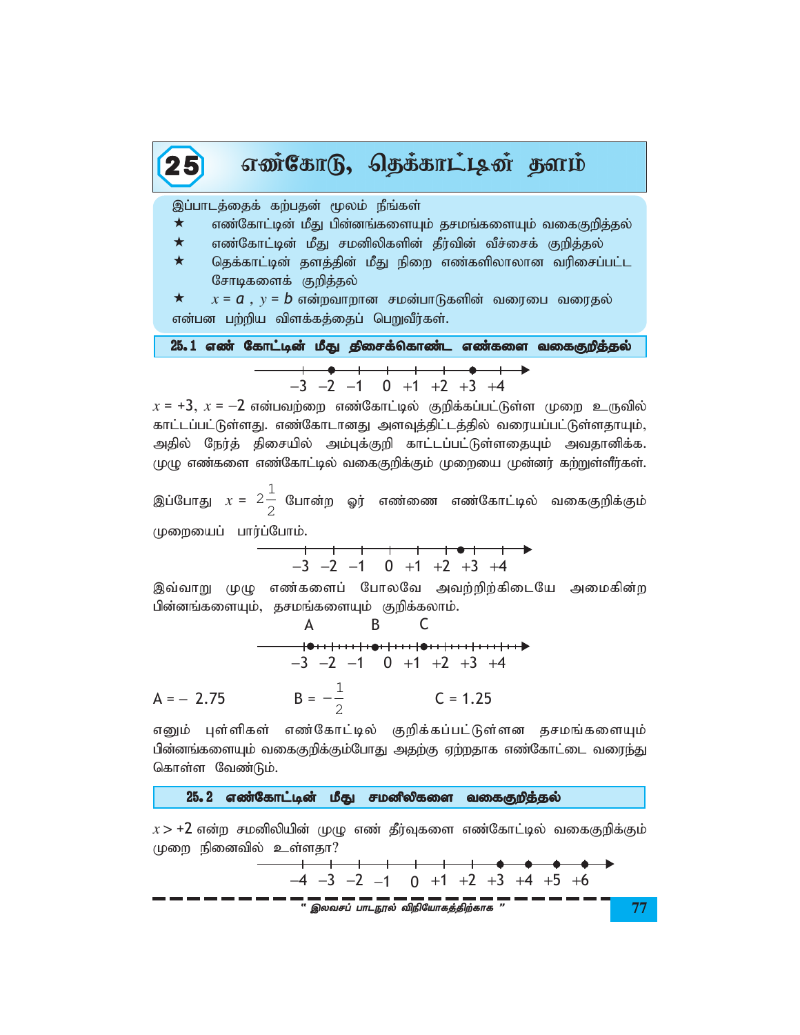| எண்கோடு, தெக்காட்டின் தளம்<br>25                                                                                                                      |  |  |  |  |  |  |  |  |  |
|-------------------------------------------------------------------------------------------------------------------------------------------------------|--|--|--|--|--|--|--|--|--|
| இப்பாடத்தைக் கற்பதன் மூலம் நீங்கள்<br>$\star$<br>எண்கோட்டின் மீது பின்னங்களையும் தசமங்களையும் வகைகுறித்தல்<br>$\star$                                 |  |  |  |  |  |  |  |  |  |
| எண்கோட்டின் மீது சமனிலிகளின் தீர்வின் வீச்சைக் குறித்தல்<br>$\star$<br>தெக்காட்டின் தளத்தின் மீது நிறை எண்களிலாலான வரிசைப்பட்ட<br>சோடிகளைக் குறித்தல் |  |  |  |  |  |  |  |  |  |
| $x = a$ , $y = b$ என்றவாறான சமன்பாடுகளின் வரைபை வரைதல்<br>$\star$<br>என்பன பற்றிய விளக்கத்தைப் பெறுவீர்கள்.                                           |  |  |  |  |  |  |  |  |  |
| 25.1 எண் கோட்டின் மீது திசைக்கொண்ட எண்களை வகைகுறித்தல்                                                                                                |  |  |  |  |  |  |  |  |  |
| $-3$ $-2$ $-1$ 0 $+1$ $+2$ $+3$ $+4$                                                                                                                  |  |  |  |  |  |  |  |  |  |

 $x = +3$ ,  $x = -2$  என்பவற்றை எண்கோட்டில் குறிக்கப்பட்டுள்ள முறை உருவில் காட்டப்பட்டுள்ளது. எண்கோடானது அளவுத்திட்டத்தில் வரையப்பட்டுள்ளதாயும், அதில் நேர்த் திசையில் அம்புக்குறி காட்டப்பட்டுள்ளதையும் அவதானிக்க. முழு எண்களை எண்கோட்டில் வகைகுறிக்கும் முறையை முன்னர் கற்றுள்ளீர்கள்.

இப்போது  $x = 2\frac{1}{2}$  போன்ற ஓர் எண்ணை எண்கோட்டில் வகைகுறிக்கும் முறையைப் பார்ப்போம்.

 $-3$   $-2$   $-1$  0 +1 +2 +3 +4

இவ்வாறு முழு எண்களைப் போலவே அவற்றிற்கிடையே அமைகின்ற பின்னங்களையும், தசமங்களையும் குறிக்கலாம்.

$$
A \t B \t C
$$
  
\n
$$
-3 -2 -1 \t 0 +1 +2 +3 +4
$$
  
\n
$$
A = -2.75 \t B = -\frac{1}{2} \t C = 1.25
$$

எனும் புள்ளிகள் எண்கோட்டில் குறிக்கப்பட்டுள்ளன தசமங்களையும் பின்னங்களையும் வகைகுறிக்கும்போது அதற்கு ஏற்றதாக எண்கோட்டை வரைந்து கொள்ள வேண்டும்.

25.2 எண்கோட்டின் மீது சமனீலிகளை வகைகுறித்தல்

 $x > +2$  என்ற சமனிலியின் முழு எண் தீர்வுகளை எண்கோட்டில் வகைகுறிக்கும் முறை நினைவில் உள்ளதா?

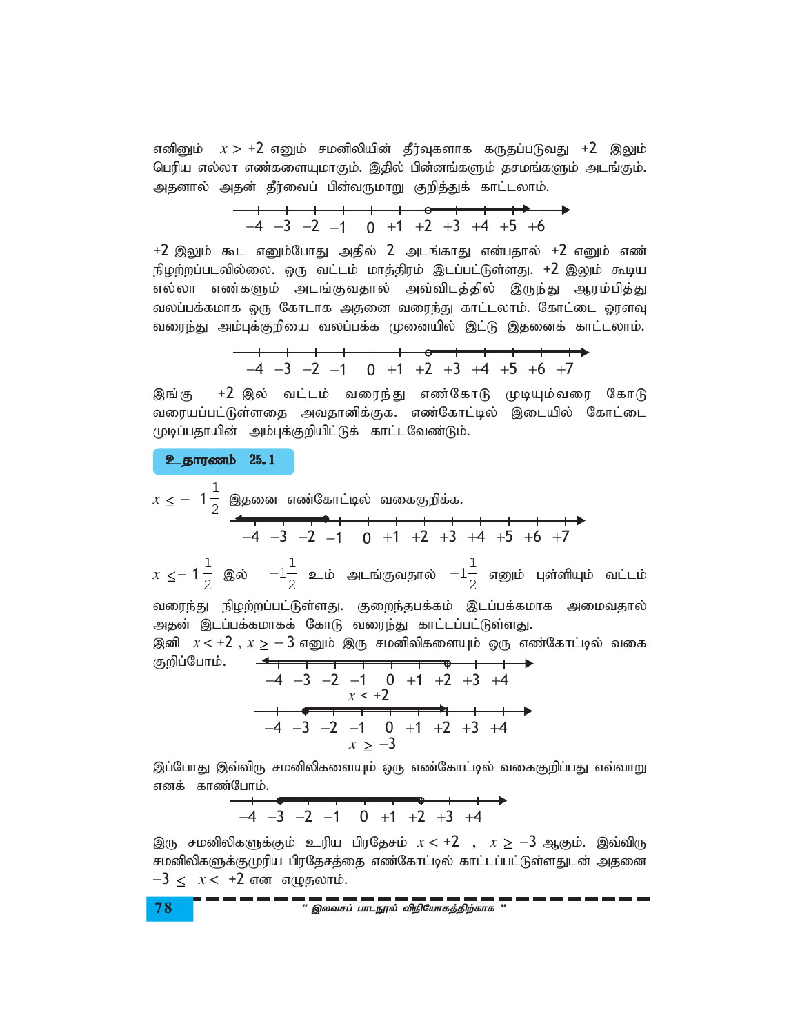எனினும்  $x > +2$  எனும் சமனிலியின் தீர்வுகளாக கருதப்படுவது +2 இலும் பெரிய எல்லா எண்களையுமாகும். இதில் பின்னங்களும் தசமங்களும் அடங்கும். அதனால் அதன் தீர்வைப் பின்வருமாறு குறித்துக் காட்டலாம்.

$$
\begin{array}{ccccccccccc}\n-4 & -3 & -2 & -1 & 0 & +1 & +2 & +3 & +4 & +5 & +6 \\
\end{array}
$$

 $+2$  இலும் கூட எனும்போது அதில் 2 அடங்காது என்பதால்  $+2$  எனும் எண் நிழற்றப்படவில்லை. ஒரு வட்டம் மாத்திரம் இடப்பட்டுள்ளது. +2 இலும் கூடிய எல்லா எண்களும் அடங்குவதால் அவ்விடத்தில் இருந்து ஆரம்பித்து வலப்பக்கமாக ஒரு கோடாக அதனை வரைந்து காட்டலாம். கோட்டை ஓரளவு வரைந்து அம்புக்குறியை வலப்பக்க முனையில் இட்டு இதனைக் காட்டலாம்.

|  |  |  |  |  | $-4$ $-3$ $-2$ $-1$ 0 $+1$ $+2$ $+3$ $+4$ $+5$ $+6$ $+7$ |
|--|--|--|--|--|----------------------------------------------------------|

இங்கு +2 இல் வட்டம் வரைந்து எண்கோடு முடியும்வரை கோடு வரையப்பட்டுள்ளதை அவதானிக்குக. எண்கோட்டில் இடையில் கோட்டை முடிப்பதாயின் அம்புக்குறியிட்டுக் காட்டவேண்டும்.

cjhuzk; 25.1

$$
x \le -1\frac{1}{2}
$$
 இதனை எண்கோட்டில் வகைகுறிக்க.  
\n~~-4 -3 -2 -1 0 +1 +2 +3 +4 +5 +6 +7~~  
\n~~-1~~  
\n1 1 1

 $x \leq -1$  $\frac{1}{2}$  இல்  $-1\frac{1}{2}$  $\frac{1}{2}$  உம் அடங்குவதால்  $-1\frac{1}{2}$  $\bar{2}^-$  எனும் புள்ளியும் வட்டம்<br>2 வரைந்து நிழற்றப்பட்டுள்ளது. குறைந்தபக்கம் இடப்பக்கமாக அமைவதால் அதன் இடப்பக்கமாகக் கோடு வரைந்து காட்டப்பட்டுள்ளது. இனி  $x < +2$ ,  $x \ge -3$  எனும் இரு சமனிலிகளையும் ஒரு எண்கோட்டில் வகை

குறிப்போம். −4 −3 −2 −1 0 +1 +2 +3 +4 *x* < +2

$$
-4 -3 -2 -1 0 +1 +2 +3 +4
$$

இப்போது இவ்விரு சமனிலிகளையும் ஒரு எண்கோட்டில் வகைகுறிப்பது எவ்வாறு எனக் காண்போம்.

−4 −3 −2 −1 0 +1 +2 +3 +4

இரு சமனிலிகளுக்கும் உரிய பிரதேசம்  $x < +2$  ,  $x \ge -3$  ஆகும். இவ்விரு சமனிலிகளுக்குமுரிய பிரதேசத்தை எண்கோட்டில் காட்டப்பட்டுள்ளதுடன் அதனை −3 < *x* < +2 என எழுதலாம்.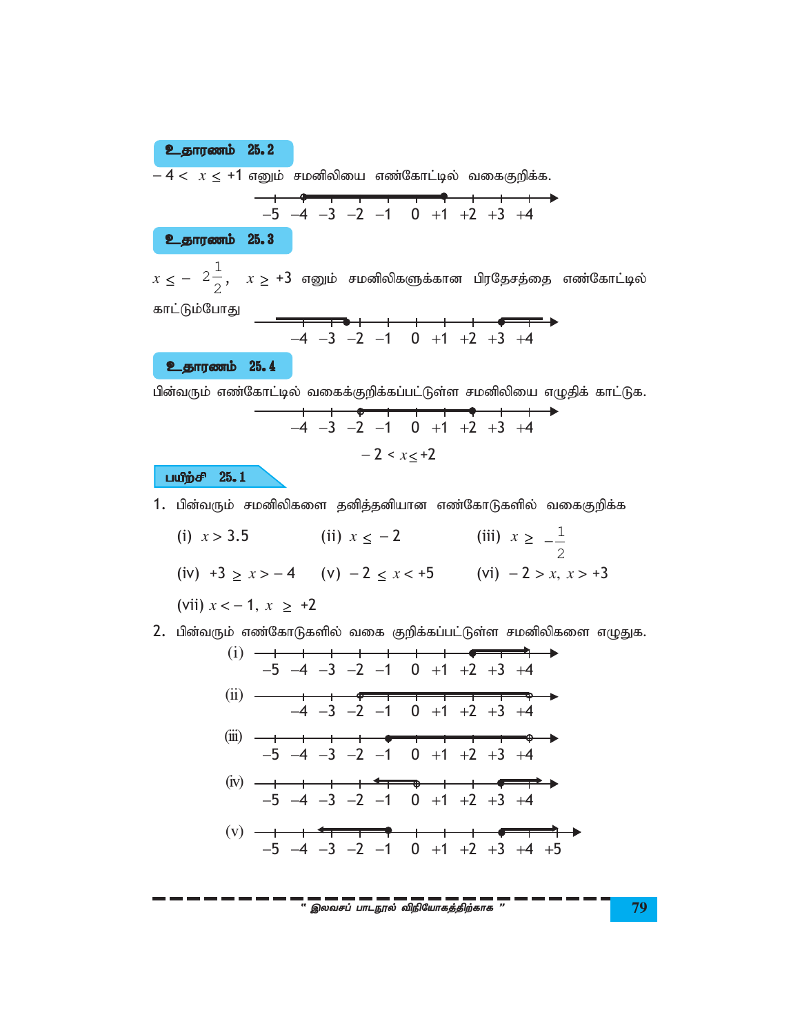உதாரணம் 25.2  $-4 < x \leq +1$  எனும் சமனிலியை எண்கோட்டில் வகைகுறிக்க.  $-5$   $-4$   $-3$   $-2$   $-1$  0  $+1$   $+2$   $+3$   $+4$ உதாரணம் 25.3  $x \le -2\frac{1}{2}$ ,  $x \ge +3$  எனும் சமனிலிகளுக்கான பிரதேசத்தை எண்கோட்டில் காட்டும்போது  $-4$   $-3$   $-2$   $-1$  0  $+1$   $+2$   $+3$   $+4$ **உதாரணம் 25.4** பின்வரும் எண்கோட்டில் வகைக்குறிக்கப்பட்டுள்ள சமனிலியை எழுதிக் காட்டுக.

$$
-4 -3 -2 -1 0 +1 +2 +3 +4
$$
  
-2  $x \leq +2$ 

பயீற்சி 25.1

- 1. பின்வரும் சமனிலிகளை தனித்தனியான எண்கோடுகளில் வகைகுறிக்க
	- (ii)  $x \le -2$  (iii)  $x \ge -\frac{1}{2}$ (i)  $x > 3.5$ (iv)  $+3 \ge x > -4$  (v)  $-2 \le x < +5$  (vi)  $-2 > x, x > +3$ (vii)  $x < -1$ ,  $x \ge +2$
- 2. பின்வரும் எண்கோடுகளில் வகை குறிக்கப்பட்டுள்ள சமனிலிகளை எழுதுக.
	- (ii)  $-4$  -3 -2 -1 0 +1 +2 +3 +4 (v)  $-1$   $+$   $+$   $-1$   $-1$   $+$   $+$   $-1$   $-1$   $-1$   $+1$   $+2$   $+3$   $+4$   $+5$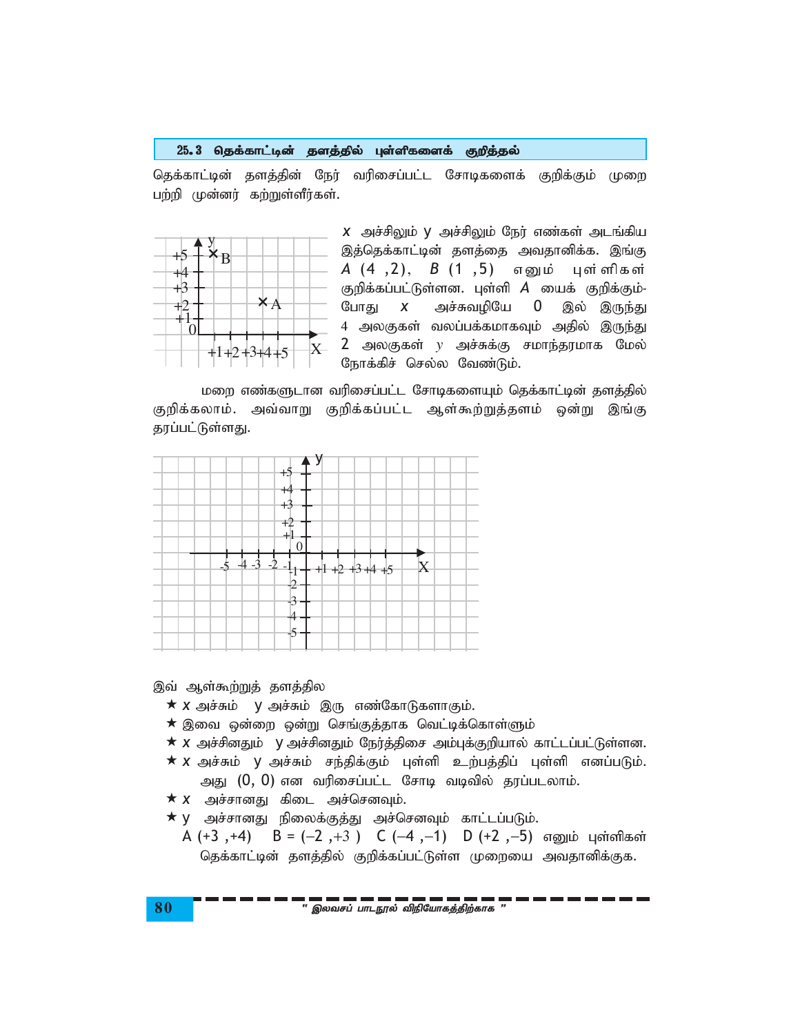## 25.3 தெக்காட்டின் தளத்தில் புள்ளிகளைக் குறித்தல்

தெக்காட்டின் தளத்தின் நேர் வரிசைப்பட்ட சோடிகளைக் குறிக்கும் முறை பற்றி முன்னர் கற்றுள்ளீர்கள்.



 $X$  அச்சிலும் y அச்சிலும் நேர் எண்கள் அடங்கிய இத்தெக்காட்டின் தளத்தை அவதானிக்க. இங்கு A (4,2), B (1,5) எனும் புள்ளிகள் குறிக்கப்பட்டுள்ளன. புள்ளி *A* யைக் குறிக்கும்-போது அச்சுவழியே  $\boldsymbol{X}$  $\overline{0}$ இல் இருந்து 4 அலகுகள் வலப்பக்கமாகவும் அகில் இருந்து 2 அலகுகள்  $y$  அச்சுக்கு சமாந்தரமாக மேல் நோக்கிச் செல்ல வேண்டும்.

மறை எண்களுடான வரிசைப்பட்ட சோடிகளையும் தெக்காட்டின் தளத்தில் குறிக்கலாம். அவ்வாறு குறிக்கப்பட்ட ஆள்கூற்றுத்தளம் ஒன்று இங்கு தரப்பட்டுள்ளது.



இவ் ஆள்கூற்றுத் தளத்தில

- $\star$  X அச்சும் y அச்சும் இரு எண்கோடுகளாகும்.
- $\star$  இவை ஒன்றை ஒன்று செங்குத்தாக வெட்டிக்கொள்ளும்
- $\star$  X அச்சினதும் y அச்சினதும் நேர்த்திசை அம்புக்குறியால் காட்டப்பட்டுள்ளன.
- $\star$  X அச்சும் y அச்சும் சந்திக்கும் புள்ளி உற்பத்திப் புள்ளி எனப்படும். அது (0, 0) என வரிசைப்பட்ட சோடி வடிவில் தரப்படலாம்.
- $\star$   $\boldsymbol{x}$  அச்சானது கிடை அச்செனவும்.
- $\star$  y அச்சானது நிலைக்குத்து அச்செனவும் காட்டப்படும்.
- $B = (-2, +3)$  С  $(-4, -1)$  D  $(+2, -5)$  எனும் புள்ளிகள்  $A (+3, +4)$ தெக்காட்டின் தளத்தில் குறிக்கப்பட்டுள்ள முறையை அவதானிக்குக.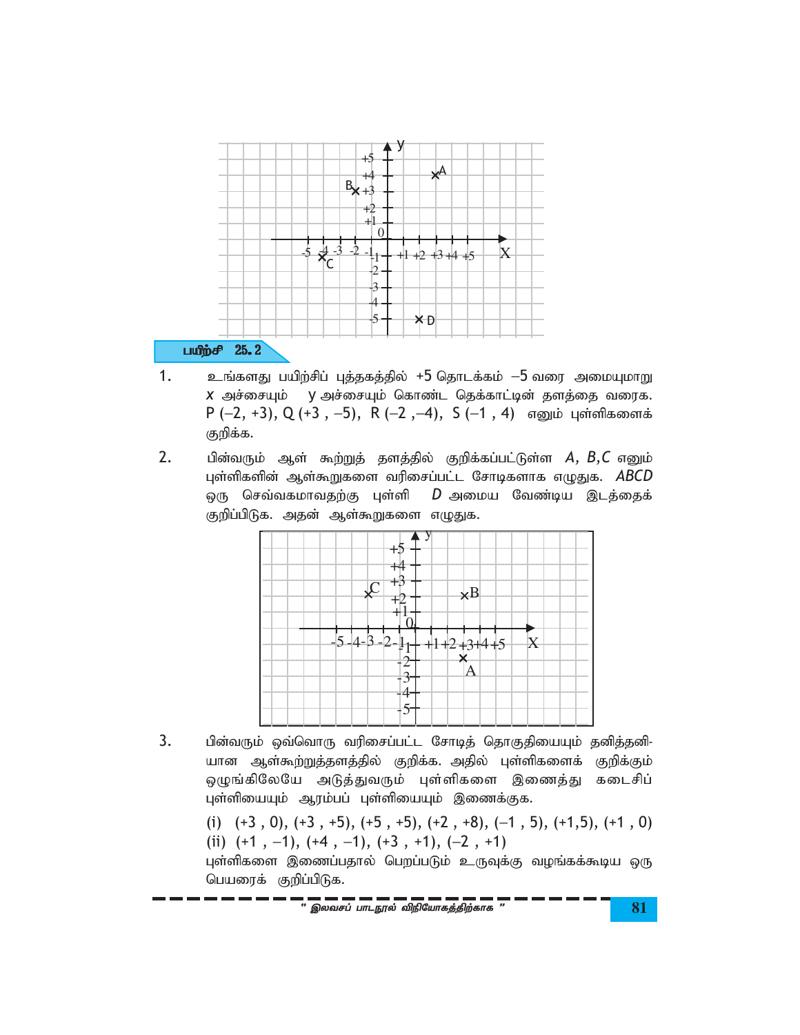

- $\mathbf{1}$ . உங்களது பயிற்சிப் புத்தகத்தில் +5 தொடக்கம்  $-5$  வரை அமையுமாறு X அச்சையும் y அச்சையும் கொண்ட தெக்காட்டின் தளத்தை வரைக. P (-2, +3), Q (+3, -5), R (-2, -4), S (-1, 4) எனும் புள்ளிகளைக் குறிக்க.
- $2.$ பின்வரும் ஆள் கூற்றுத் தளத்தில் குறிக்கப்பட்டுள்ள  $A, B, C$  எனும் புள்ளிகளின் ஆள்கூறுகளை வரிசைப்பட்ட சோடிகளாக எழுதுக. ABCD ஒரு செவ்வகமாவதற்கு புள்ளி  $D$  அமைய வேண்டிய இடத்தைக் குறிப்பிடுக. அதன் ஆள்கூறுகளை எழுதுக.



- 3. பின்வரும் ஒவ்வொரு வரிசைப்பட்ட சோடித் தொகுதியையும் தனித்தனி-யான ஆள்கூற்றுத்தளத்தில் குறிக்க. அதில் புள்ளிகளைக் குறிக்கும் ஒழுங்கிலேயே அடுத்துவரும் புள்ளிகளை இணைத்து கடைசிப் புள்ளியையும் ஆரம்பப் புள்ளியையும் இணைக்குக.
	- (i)  $(+3, 0)$ ,  $(+3, +5)$ ,  $(+5, +5)$ ,  $(+2, +8)$ ,  $(-1, 5)$ ,  $(+1,5)$ ,  $(+1, 0)$ (ii)  $(+1, -1), (+4, -1), (+3, +1), (-2, +1)$
	- புள்ளிகளை இணைப்பதால் பெறப்படும் உருவுக்கு வழங்கக்கூடிய ஒரு பெயரைக் குறிப்பிடுக.

" இலவசப் பாடநூல் விநியோகத்திற்காக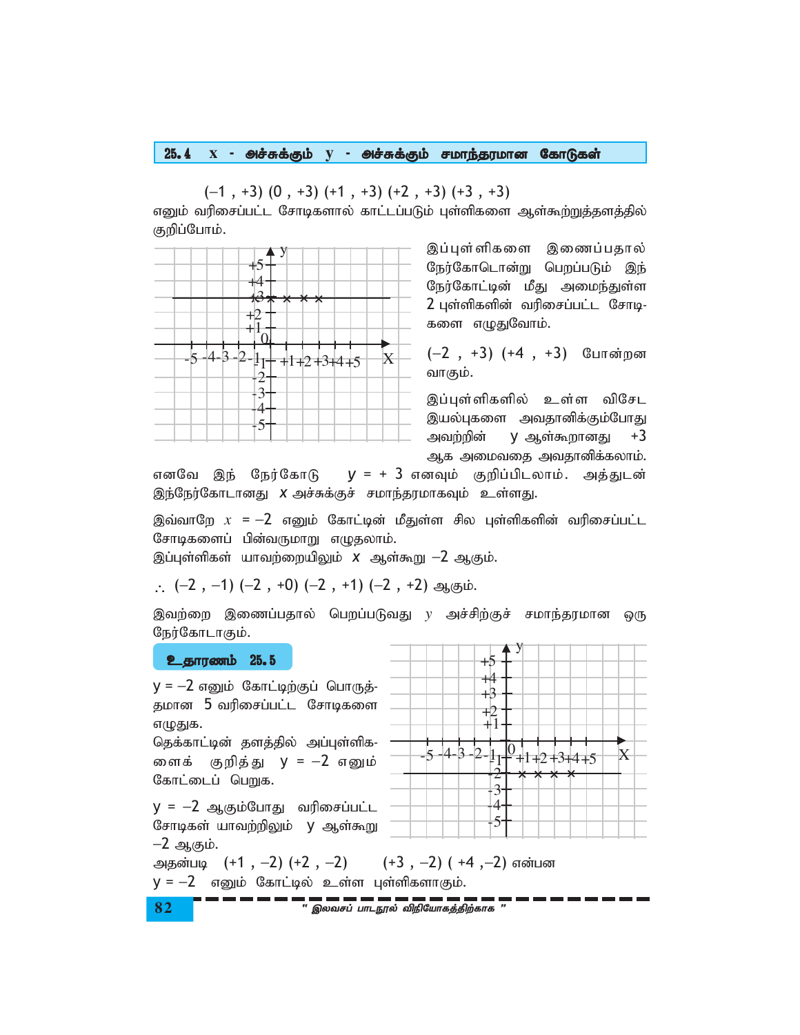#### $X$  - அச்சுக்கும்  $y$  - அச்சுக்கும் சமாந்தரமான கோடுகள்  $25.4$

 $(-1, +3)$   $(0, +3)$   $(+1, +3)$   $(+2, +3)$   $(+3, +3)$ 

எனும் வரிசைப்பட்ட சோடிகளால் காட்டப்படும் புள்ளிகளை ஆள்கூற்றுத்தளத்தில் குறிப்போம்.



இப்புள்ளிகளை இணைப்பதால் நேர்கோடொன்று பெறப்படும் இந் நேர்கோட்டின் மீது அமைந்துள்ள 2 புள்ளிகளின் வரிசைப்பட்ட சோடி-களை எழுதுவோம்.

 $(-2, +3)$   $(+4, +3)$  போன்றன வாகும்.

இப்புள்ளிகளில் உள்ள விசேட இயல்புகளை அவதானிக்கும்போது அவற்றின்  $V = \sin \theta$  +3 ஆக அமைவதை அவதானிக்கலாம்.

எனவே இந் நேர்கோடு  $y = +3$  எனவும் குறிப்பிடலாம். அத்துடன் இந்நேர்கோடானது X அச்சுக்குச் சமாந்தரமாகவும் உள்ளது.

இவ்வாறே  $x = -2$  எனும் கோட்டின் மீதுள்ள சில புள்ளிகளின் வரிசைப்பட்ட சோடிகளைப் பின்வருமாறு எழுதலாம்.

இப்புள்ளிகள் யாவற்றையிலும் *x* ஆள்கூறு —2 ஆகும்.

 $(-2, -1)$   $(-2, +0)$   $(-2, +1)$   $(-2, +2)$  ஆகும்.

இவற்றை இணைப்பதால் பெறப்படுவது  $y$  அச்சிற்குச் சமாந்தரமான ஒரு நேர்கோடாகும்.

## உதாரணம் 25.5

 $V = -2$  எனும் கோட்டிற்குப் பொருத்-தமான 5 வரிசைப்பட்ட சோடிகளை எழுதுக.

தெக்காட்டின் தளத்தில் அப்புள்ளிக-ளைக் குறித்து y = −2 எனும் கோட்டைப் பெறுக.

 $y = -2$  ஆகும்போது வரிசைப்பட்ட சோடிகள் யாவற்றிலும் y ஆள்கூறு  $-2$  ஆகும்.

 $+4$ +B  $+2$ 41 14.  $-3$  $\overline{2}$  $\overline{\mathbf{5}}$ X  $+1$  +2 +3+4 +5 3 4 5

+5

அதன்படி  $(+1, -2)$   $(+2, -2)$   $(+3, -2)$   $(+4, -2)$  என்பன  $y = -2$  எனும் கோட்டில் உள்ள புள்ளிகளாகும்.

- — — — — — — — — — — — — —<br>" இலவசப் பாடநூல் விநியோகக்கிற்காக "

82